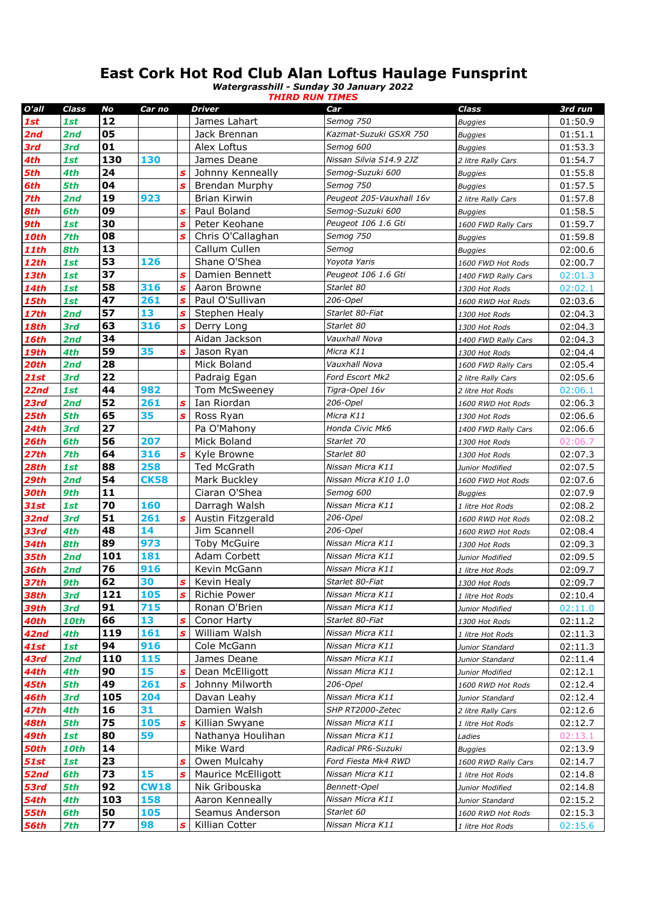## **East Cork Hot Rod Club Alan Loftus Haulage Funsprint**

*Watergrasshill - Sunday 30 January 2022 THIRD RUN TIMES*

| O'all        | Class       | No        | Car no      |                  | <b>Driver</b>                  | Car                                  | <b>Class</b>                          | 3rd run            |
|--------------|-------------|-----------|-------------|------------------|--------------------------------|--------------------------------------|---------------------------------------|--------------------|
| 1st          | 1st         | 12        |             |                  | James Lahart                   | Semog 750                            | <b>Buggies</b>                        | 01:50.9            |
| 2nd          | 2nd         | 05        |             |                  | Jack Brennan                   | Kazmat-Suzuki GSXR 750               | <b>Buggies</b>                        | 01:51.1            |
| 3rd          | 3rd         | 01        |             |                  | Alex Loftus                    | Semog 600                            | <b>Buggies</b>                        | 01:53.3            |
| 4th          | 1st         | 130       | 130         |                  | James Deane                    | Nissan Silvia S14.9 2JZ              | 2 litre Rally Cars                    | 01:54.7            |
| 5th          | 4th         | 24        |             | $\mathbf{s}$     | Johnny Kenneally               | Semog-Suzuki 600                     | <b>Buggies</b>                        | 01:55.8            |
| 6th          | 5th         | 04        |             | $\mathbf{s}$     | <b>Brendan Murphy</b>          | Semog 750                            | <b>Buggies</b>                        | 01:57.5            |
| 7th          | 2nd         | 19        | 923         |                  | Brian Kirwin                   | Peugeot 205-Vauxhall 16v             | 2 litre Rally Cars                    | 01:57.8            |
| 8th          | 6th         | 09        |             | $\mathbf{s}$     | Paul Boland                    | Semog-Suzuki 600                     | <b>Buggies</b>                        | 01:58.5            |
| 9th          | 1st         | 30        |             | S                | Peter Keohane                  | Peugeot 106 1.6 Gti                  | 1600 FWD Rally Cars                   | 01:59.7            |
| <b>10th</b>  | <b>7th</b>  | 08        |             | $\mathbf{s}$     | Chris O'Callaghan              | Semog 750                            | <b>Buggies</b>                        | 01:59.8            |
| <b>11th</b>  | 8th         | 13        |             |                  | Callum Cullen                  | Semog                                | <b>Buggies</b>                        | 02:00.6            |
| <b>12th</b>  | 1st         | 53        | 126         |                  | Shane O'Shea                   | Yoyota Yaris                         | 1600 FWD Hot Rods                     | 02:00.7            |
| <b>13th</b>  | 1st         | 37        |             | S                | Damien Bennett                 | Peugeot 106 1.6 Gti                  | 1400 FWD Rally Cars                   | 02:01.3            |
| 14th         | 1st         | 58        | 316         | $\boldsymbol{s}$ | Aaron Browne                   | Starlet 80                           | 1300 Hot Rods                         | 02:02.1            |
| 15th         | 1st         | 47        | 261         | $\boldsymbol{s}$ | Paul O'Sullivan                | 206-Opel                             | 1600 RWD Hot Rods                     | 02:03.6            |
| <b>17th</b>  | 2nd         | 57        | 13          | $\boldsymbol{s}$ | Stephen Healy                  | Starlet 80-Fiat                      | 1300 Hot Rods                         | 02:04.3            |
| <b>18th</b>  | 3rd         | 63        | 316         | $\boldsymbol{s}$ | Derry Long                     | Starlet 80                           | 1300 Hot Rods                         | 02:04.3            |
| 16th         | 2nd         | 34        |             |                  | Aidan Jackson                  | Vauxhall Nova                        | 1400 FWD Rally Cars                   | 02:04.3            |
| 19th         | 4th         | 59        | 35          | S                | Jason Ryan                     | Micra K11                            | 1300 Hot Rods                         | 02:04.4            |
| 20th         | 2nd         | 28        |             |                  | Mick Boland                    | Vauxhall Nova                        | 1600 FWD Rally Cars                   | 02:05.4            |
| <b>21st</b>  | 3rd         | 22        |             |                  | Padraig Egan                   | Ford Escort Mk2                      | 2 litre Rally Cars                    | 02:05.6            |
| 22nd         | 1st         | 44        | 982         |                  | Tom McSweeney                  | Tigra-Opel 16v                       | 2 litre Hot Rods                      | 02:06.1            |
| 23rd         | 2nd         | 52        | 261         | S                | Ian Riordan                    | 206-Opel                             | 1600 RWD Hot Rods                     | 02:06.3            |
| <b>25th</b>  | 5th         | 65        | 35          | S                | Ross Ryan                      | Micra K11                            | 1300 Hot Rods                         | 02:06.6            |
| <b>24th</b>  | 3rd         | 27        |             |                  | Pa O'Mahony                    | Honda Civic Mk6                      | 1400 FWD Rally Cars                   | 02:06.6            |
| 26th         | 6th         | 56        | 207         |                  | Mick Boland                    | Starlet 70                           | 1300 Hot Rods                         | 02:06.7            |
| 27th         | 7th         | 64        | 316         | S                | Kyle Browne                    | Starlet 80                           | 1300 Hot Rods                         | 02:07.3            |
| 28th         | 1st         | 88        | 258         |                  | <b>Ted McGrath</b>             | Nissan Micra K11                     | Junior Modified                       | 02:07.5            |
| 29th         | 2nd         | 54        | <b>CK58</b> |                  | Mark Buckley                   | Nissan Micra K10 1.0                 | 1600 FWD Hot Rods                     | 02:07.6            |
| 30th         | 9th         | 11        |             |                  | Ciaran O'Shea                  | Semog 600                            | <b>Buggies</b>                        | 02:07.9            |
| 31st         | 1st         | 70        | 160         |                  | Darragh Walsh                  | Nissan Micra K11                     | 1 litre Hot Rods                      | 02:08.2            |
| 32nd         | 3rd         | 51        | 261         | S                | Austin Fitzgerald              | 206-Opel                             | 1600 RWD Hot Rods                     | 02:08.2            |
| 33rd         | 4th         | 48        | 14          |                  | Jim Scannell                   | 206-Opel                             | 1600 RWD Hot Rods                     | 02:08.4            |
| 34th         | 8th         | 89        | 973         |                  | <b>Toby McGuire</b>            | Nissan Micra K11                     | 1300 Hot Rods                         | 02:09.3            |
| <b>35th</b>  | 2nd         | 101       | 181         |                  | Adam Corbett                   | Nissan Micra K11                     | Junior Modified                       | 02:09.5            |
| <b>36th</b>  | 2nd         | 76        | 916         |                  | Kevin McGann                   | Nissan Micra K11                     | 1 litre Hot Rods                      | 02:09.7            |
| <b>37th</b>  | 9th         | 62        | 30          | S                | Kevin Healy                    | Starlet 80-Fiat                      | 1300 Hot Rods                         | 02:09.7            |
| <b>38th</b>  | <b>3rd</b>  | 121       | 105         | $\mathbf{s}$     | Richie Power                   | Nissan Micra K11                     | 1 litre Hot Rods                      | 02:10.4            |
| 39th         | <b>3rd</b>  | 91        | 715         |                  | Ronan O'Brien                  | Nissan Micra K11                     | Junior Modified                       | 02:11.0            |
| 40th         | <b>10th</b> | 66        | 13          | S                | Conor Harty                    | Starlet 80-Fiat                      | 1300 Hot Rods                         | 02:11.2            |
| 42nd         | 4th         | 119       | 161         | $\pmb{s}$        | William Walsh                  | Nissan Micra K11<br>Nissan Micra K11 | 1 litre Hot Rods                      | 02:11.3            |
| 41st         | 1st         | 94<br>110 | 916         |                  | Cole McGann                    | Nissan Micra K11                     | Junior Standard                       | 02:11.3            |
| 43rd         | 2nd         | 90        | 115<br>15   |                  | James Deane<br>Dean McElligott | Nissan Micra K11                     | Junior Standard                       | 02:11.4            |
| 44th<br>45th | 4th<br>5th  | 49        | 261         | S<br>S           | Johnny Milworth                | 206-Opel                             | Junior Modified<br>1600 RWD Hot Rods  | 02:12.1<br>02:12.4 |
| 46th         | <b>3rd</b>  | 105       | 204         |                  | Davan Leahy                    | Nissan Micra K11                     |                                       |                    |
| 47th         | 4th         | 16        | 31          |                  | Damien Walsh                   | SHP RT2000-Zetec                     | Junior Standard<br>2 litre Rally Cars | 02:12.4<br>02:12.6 |
| 48th         | 5th         | 75        | 105         | s                | Killian Swyane                 | Nissan Micra K11                     | 1 litre Hot Rods                      |                    |
| 49th         | <b>1st</b>  | 80        | 59          |                  | Nathanya Houlihan              | Nissan Micra K11                     | Ladies                                | 02:12.7<br>02:13.1 |
| 50th         | <b>10th</b> | 14        |             |                  | Mike Ward                      | Radical PR6-Suzuki                   | <b>Buggies</b>                        | 02:13.9            |
| <b>51st</b>  | 1st         | 23        |             | S                | Owen Mulcahy                   | Ford Fiesta Mk4 RWD                  | 1600 RWD Rally Cars                   | 02:14.7            |
| 52nd         | 6th         | 73        | 15          | S                | Maurice McElligott             | Nissan Micra K11                     | 1 litre Hot Rods                      | 02:14.8            |
| 53rd         | 5th         | 92        | <b>CW18</b> |                  | Nik Gribouska                  | Bennett-Opel                         | Junior Modified                       | 02:14.8            |
| 54th         | 4th         | 103       | 158         |                  | Aaron Kenneally                | Nissan Micra K11                     | Junior Standard                       | 02:15.2            |
| <b>55th</b>  | 6th         | 50        | 105         |                  | Seamus Anderson                | Starlet 60                           | 1600 RWD Hot Rods                     | 02:15.3            |
| <b>56th</b>  | <b>7th</b>  | 77        | 98          | S                | Killian Cotter                 | Nissan Micra K11                     | 1 litre Hot Rods                      | 02:15.6            |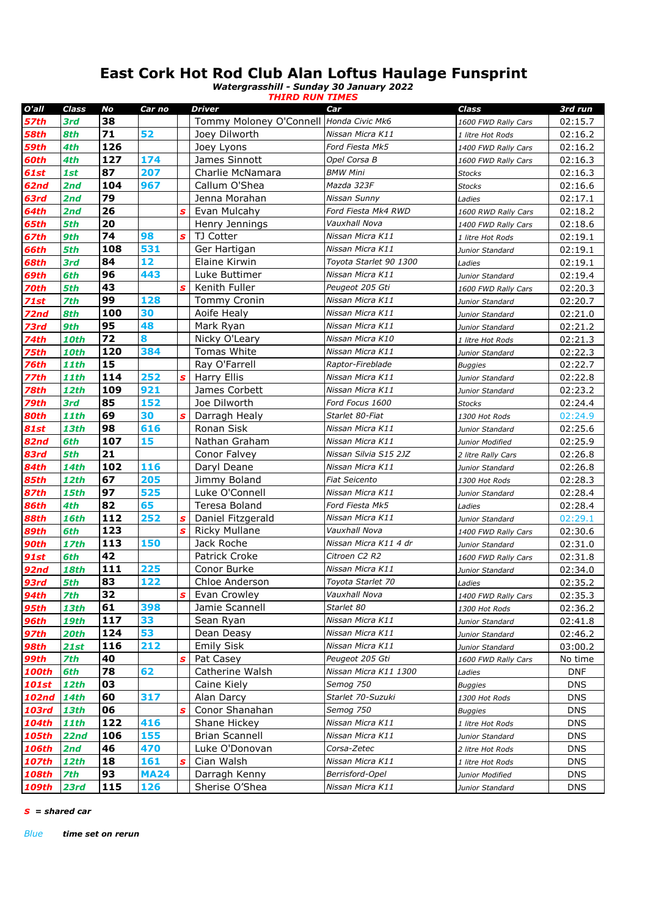## **East Cork Hot Rod Club Alan Loftus Haulage Funsprint**

*Watergrasshill - Sunday 30 January 2022*

|              |             |     |             |                           | <b>THIRD RUN TIMES</b>                  |                        |                     |            |
|--------------|-------------|-----|-------------|---------------------------|-----------------------------------------|------------------------|---------------------|------------|
| O'all        | Class       | No  | Car no      |                           | Driver                                  | Car                    | Class               | 3rd run    |
| 57th         | 3rd         | 38  |             |                           | Tommy Moloney O'Connell Honda Civic Mk6 |                        | 1600 FWD Rally Cars | 02:15.7    |
| 58th         | 8th         | 71  | 52          |                           | Joey Dilworth                           | Nissan Micra K11       | 1 litre Hot Rods    | 02:16.2    |
| 59th         | 4th         | 126 |             |                           | Joey Lyons                              | Ford Fiesta Mk5        | 1400 FWD Rally Cars | 02:16.2    |
| 60th         | 4th         | 127 | 174         |                           | James Sinnott                           | Opel Corsa B           | 1600 FWD Rally Cars | 02:16.3    |
| 61st         | 1st         | 87  | 207         |                           | Charlie McNamara                        | <b>BMW Mini</b>        | <b>Stocks</b>       | 02:16.3    |
| 62nd         | 2nd         | 104 | 967         |                           | Callum O'Shea                           | Mazda 323F             | <b>Stocks</b>       | 02:16.6    |
| 63rd         | 2nd         | 79  |             |                           | Jenna Morahan                           | Nissan Sunny           | Ladies              | 02:17.1    |
| 64th         | 2nd         | 26  |             | S                         | Evan Mulcahy                            | Ford Fiesta Mk4 RWD    | 1600 RWD Rally Cars | 02:18.2    |
| 65th         | 5th         | 20  |             |                           | Henry Jennings                          | Vauxhall Nova          | 1400 FWD Rally Cars | 02:18.6    |
| 67th         | 9th         | 74  | 98          | $\boldsymbol{s}$          | TJ Cotter                               | Nissan Micra K11       | 1 litre Hot Rods    | 02:19.1    |
| <b>66th</b>  | 5th         | 108 | 531         |                           | Ger Hartigan                            | Nissan Micra K11       | Junior Standard     | 02:19.1    |
| 68th         | 3rd         | 84  | 12          |                           | Elaine Kirwin                           | Toyota Starlet 90 1300 | Ladies              | 02:19.1    |
| 69th         | 6th         | 96  | 443         |                           | Luke Buttimer                           | Nissan Micra K11       | Junior Standard     | 02:19.4    |
| 70th         | 5th         | 43  |             | s                         | Kenith Fuller                           | Peugeot 205 Gti        | 1600 FWD Rally Cars | 02:20.3    |
| <b>71st</b>  | 7th         | 99  | 128         |                           | <b>Tommy Cronin</b>                     | Nissan Micra K11       | Junior Standard     | 02:20.7    |
| 72nd         | 8th         | 100 | 30          |                           | Aoife Healy                             | Nissan Micra K11       | Junior Standard     | 02:21.0    |
| 73rd         | 9th         | 95  | 48          |                           | Mark Ryan                               | Nissan Micra K11       | Junior Standard     | 02:21.2    |
| 74th         | <b>10th</b> | 72  | 8           |                           | Nicky O'Leary                           | Nissan Micra K10       | 1 litre Hot Rods    | 02:21.3    |
| 75th         | <b>10th</b> | 120 | 384         |                           | Tomas White                             | Nissan Micra K11       | Junior Standard     | 02:22.3    |
| 76th         | <b>11th</b> | 15  |             |                           | Ray O'Farrell                           | Raptor-Fireblade       | <b>Buggies</b>      | 02:22.7    |
| 77th         | <b>11th</b> | 114 | 252         | s                         | Harry Ellis                             | Nissan Micra K11       | Junior Standard     | 02:22.8    |
| 78th         | <b>12th</b> | 109 | 921         |                           | James Corbett                           | Nissan Micra K11       | Junior Standard     | 02:23.2    |
| 79th         | 3rd         | 85  | 152         |                           | Joe Dilworth                            | Ford Focus 1600        | <b>Stocks</b>       | 02:24.4    |
| 80th         | <b>11th</b> | 69  | 30          | $\mathbf{s}$              | Darragh Healy                           | Starlet 80-Fiat        | 1300 Hot Rods       | 02:24.9    |
| <b>81st</b>  | 13th        | 98  | 616         |                           | Ronan Sisk                              | Nissan Micra K11       | Junior Standard     | 02:25.6    |
| 82nd         | 6th         | 107 | 15          |                           | Nathan Graham                           | Nissan Micra K11       | Junior Modified     | 02:25.9    |
| 83rd         | 5th         | 21  |             |                           | Conor Falvey                            | Nissan Silvia S15 2JZ  | 2 litre Rally Cars  | 02:26.8    |
| 84th         | <b>14th</b> | 102 | 116         |                           | Daryl Deane                             | Nissan Micra K11       | Junior Standard     | 02:26.8    |
| 85th         | <b>12th</b> | 67  | 205         |                           | Jimmy Boland                            | <b>Fiat Seicento</b>   | 1300 Hot Rods       | 02:28.3    |
| <b>87th</b>  | <b>15th</b> | 97  | 525         |                           | Luke O'Connell                          | Nissan Micra K11       | Junior Standard     | 02:28.4    |
| <b>86th</b>  | 4th         | 82  | 65          |                           | Teresa Boland                           | Ford Fiesta Mk5        | Ladies              | 02:28.4    |
| <b>88th</b>  | <b>16th</b> | 112 | 252         | $\boldsymbol{s}$          | Daniel Fitzgerald                       | Nissan Micra K11       | Junior Standard     | 02:29.1    |
| <b>89th</b>  | 6th         | 123 |             | S                         | <b>Ricky Mullane</b>                    | Vauxhall Nova          | 1400 FWD Rally Cars | 02:30.6    |
| 90th         | <b>17th</b> | 113 | 150         |                           | Jack Roche                              | Nissan Micra K11 4 dr  | Junior Standard     | 02:31.0    |
| <b>91st</b>  | 6th         | 42  |             |                           | Patrick Croke                           | Citroen C2 R2          | 1600 FWD Rally Cars | 02:31.8    |
| <b>92nd</b>  | <b>18th</b> | 111 | 225         |                           | Conor Burke                             | Nissan Micra K11       | Junior Standard     | 02:34.0    |
| 93rd         | 5th         | 83  | 122         |                           | Chloe Anderson                          | Toyota Starlet 70      | Ladies              | 02:35.2    |
| <b>94th</b>  | <b>7th</b>  | 32  |             | S                         | Evan Crowley                            | Vauxhall Nova          | 1400 FWD Rally Cars | 02:35.3    |
| <b>95th</b>  | <b>13th</b> | 61  | 398         |                           | Jamie Scannell                          | Starlet 80             | 1300 Hot Rods       | 02:36.2    |
| <b>96th</b>  | <b>19th</b> | 117 | 33          |                           | Sean Ryan                               | Nissan Micra K11       | Junior Standard     | 02:41.8    |
| <b>97th</b>  | 20th        | 124 | 53          |                           | Dean Deasy                              | Nissan Micra K11       | Junior Standard     | 02:46.2    |
| <b>98th</b>  | 21st        | 116 | 212         |                           | <b>Emily Sisk</b>                       | Nissan Micra K11       | Junior Standard     | 03:00.2    |
| <b>99th</b>  | <b>7th</b>  | 40  |             | S                         | Pat Casey                               | Peugeot 205 Gti        | 1600 FWD Rally Cars | No time    |
| <b>100th</b> | 6th         | 78  | 62          |                           | Catherine Walsh                         | Nissan Micra K11 1300  | Ladies              | <b>DNF</b> |
| <b>101st</b> | <b>12th</b> | 03  |             |                           | Caine Kiely                             | Semog 750              | <b>Buggies</b>      | <b>DNS</b> |
| <b>102nd</b> | <b>14th</b> | 60  | 317         |                           | Alan Darcy                              | Starlet 70-Suzuki      | 1300 Hot Rods       | <b>DNS</b> |
| 103rd        | <b>13th</b> | 06  |             | S                         | Conor Shanahan                          | Semog 750              | <b>Buggies</b>      | <b>DNS</b> |
| <b>104th</b> | <b>11th</b> | 122 | 416         |                           | Shane Hickey                            | Nissan Micra K11       | 1 litre Hot Rods    | <b>DNS</b> |
|              | 22nd        | 106 | 155         |                           | <b>Brian Scannell</b>                   | Nissan Micra K11       |                     | <b>DNS</b> |
| 105th        | 2nd         | 46  | 470         |                           | Luke O'Donovan                          | Corsa-Zetec            | Junior Standard     | <b>DNS</b> |
| 106th        |             | 18  | 161         | $\boldsymbol{\mathsf{s}}$ | Cian Walsh                              | Nissan Micra K11       | 2 litre Hot Rods    |            |
| 107th        | <b>12th</b> | 93  | <b>MA24</b> |                           | Darragh Kenny                           | Berrisford-Opel        | 1 litre Hot Rods    | <b>DNS</b> |
| 108th        | 7th         |     |             |                           |                                         | Nissan Micra K11       | Junior Modified     | <b>DNS</b> |
| 109th        | 23rd        | 115 | 126         |                           | Sherise O'Shea                          |                        | Junior Standard     | <b>DNS</b> |

*s = shared car*